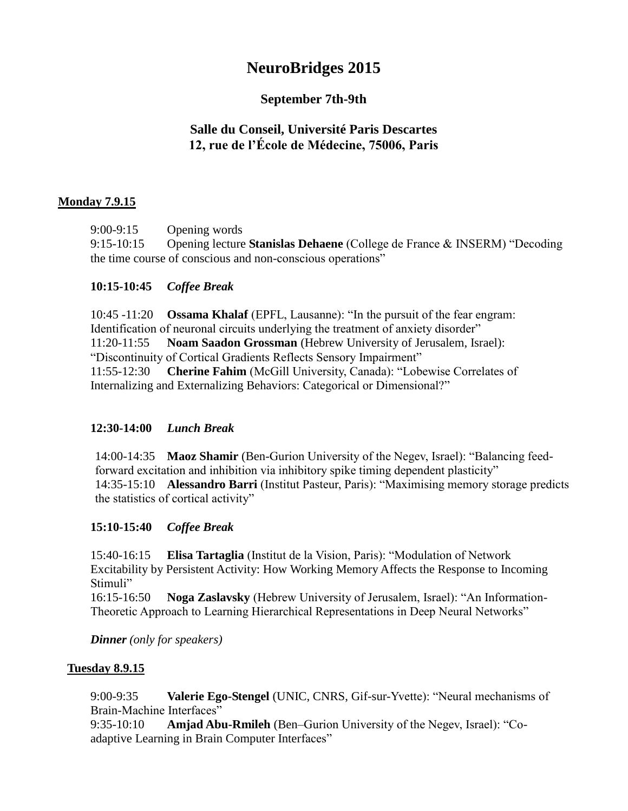# **NeuroBridges 2015**

# **September 7th-9th**

# **Salle du Conseil, Université Paris Descartes 12, rue de l'École de Médecine, 75006, Paris**

# **Monday 7.9.15**

9:00-9:15 Opening words

9:15-10:15 Opening lecture **Stanislas Dehaene** (College de France & INSERM) "Decoding the time course of conscious and non-conscious operations"

# **10:15-10:45** *Coffee Break*

10:45 -11:20 **Ossama Khalaf** (EPFL, Lausanne): "In the pursuit of the fear engram: Identification of neuronal circuits underlying the treatment of anxiety disorder" 11:20-11:55 **Noam Saadon Grossman** (Hebrew University of Jerusalem, Israel): "Discontinuity of Cortical Gradients Reflects Sensory Impairment" 11:55-12:30 **Cherine Fahim** (McGill University, Canada): "Lobewise Correlates of Internalizing and Externalizing Behaviors: Categorical or Dimensional?"

# **12:30-14:00** *Lunch Break*

14:00-14:35 **Maoz Shamir** (Ben-Gurion University of the Negev, Israel): "Balancing feedforward excitation and inhibition via inhibitory spike timing dependent plasticity" 14:35-15:10 **Alessandro Barri** (Institut Pasteur, Paris): "Maximising memory storage predicts the statistics of cortical activity"

# **15:10-15:40** *Coffee Break*

15:40-16:15 **Elisa Tartaglia** (Institut de la Vision, Paris): "Modulation of Network Excitability by Persistent Activity: How Working Memory Affects the Response to Incoming Stimuli"

16:15-16:50 **Noga Zaslavsky** (Hebrew University of Jerusalem, Israel): "An Information-Theoretic Approach to Learning Hierarchical Representations in Deep Neural Networks"

*Dinner (only for speakers)*

# **Tuesday 8.9.15**

9:00-9:35 **Valerie Ego-Stengel** (UNIC, CNRS, Gif-sur-Yvette): "Neural mechanisms of Brain-Machine Interfaces"

9:35-10:10 **Amjad Abu-Rmileh** (Ben–Gurion University of the Negev, Israel): "Coadaptive Learning in Brain Computer Interfaces"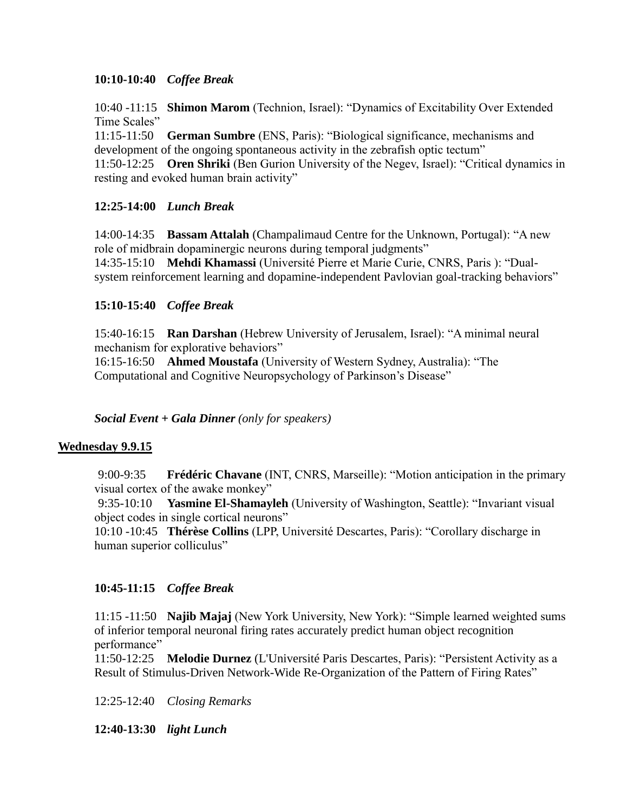# **10:10-10:40** *Coffee Break*

10:40 -11:15 **Shimon Marom** (Technion, Israel): "Dynamics of Excitability Over Extended Time Scales"

11:15-11:50 **German Sumbre** (ENS, Paris): "Biological significance, mechanisms and development of the ongoing spontaneous activity in the zebrafish optic tectum"

11:50-12:25 **Oren Shriki** (Ben Gurion University of the Negev, Israel): "Critical dynamics in resting and evoked human brain activity"

#### **12:25-14:00** *Lunch Break*

14:00-14:35 **Bassam Attalah** (Champalimaud Centre for the Unknown, Portugal): "A new role of midbrain dopaminergic neurons during temporal judgments" 14:35-15:10 **Mehdi Khamassi** (Université Pierre et Marie Curie, CNRS, Paris ): "Dualsystem reinforcement learning and dopamine-independent Pavlovian goal-tracking behaviors"

#### **15:10-15:40** *Coffee Break*

15:40-16:15 **Ran Darshan** (Hebrew University of Jerusalem, Israel): "A minimal neural mechanism for explorative behaviors"

16:15-16:50 **Ahmed Moustafa** (University of Western Sydney, Australia): "The Computational and Cognitive Neuropsychology of Parkinson's Disease"

*Social Event + Gala Dinner (only for speakers)*

#### **Wednesday 9.9.15**

9:00-9:35 **Frédéric Chavane** (INT, CNRS, Marseille): "Motion anticipation in the primary visual cortex of the awake monkey"

9:35-10:10 **Yasmine El-Shamayleh** (University of Washington, Seattle): "Invariant visual object codes in single cortical neurons"

10:10 -10:45 **Thérèse Collins** (LPP, Université Descartes, Paris): "Corollary discharge in human superior colliculus"

# **10:45-11:15** *Coffee Break*

11:15 -11:50 **Najib Majaj** (New York University, New York): "Simple learned weighted sums of inferior temporal neuronal firing rates accurately predict human object recognition performance"

11:50-12:25 **Melodie Durnez** (L'Université Paris Descartes, Paris): "Persistent Activity as a Result of Stimulus-Driven Network-Wide Re-Organization of the Pattern of Firing Rates"

12:25-12:40 *Closing Remarks*

**12:40-13:30** *light Lunch*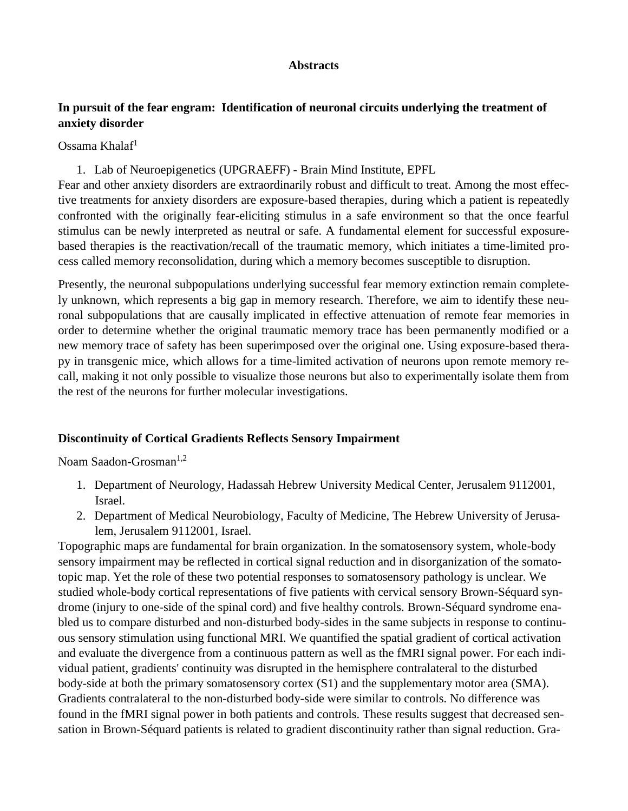#### **Abstracts**

# **In pursuit of the fear engram: Identification of neuronal circuits underlying the treatment of anxiety disorder**

Ossama Khalaf<sup>1</sup>

1. Lab of Neuroepigenetics (UPGRAEFF) - Brain Mind Institute, EPFL

Fear and other anxiety disorders are extraordinarily robust and difficult to treat. Among the most effective treatments for anxiety disorders are exposure-based therapies, during which a patient is repeatedly confronted with the originally fear-eliciting stimulus in a safe environment so that the once fearful stimulus can be newly interpreted as neutral or safe. A fundamental element for successful exposurebased therapies is the reactivation/recall of the traumatic memory, which initiates a time-limited process called memory reconsolidation, during which a memory becomes susceptible to disruption.

Presently, the neuronal subpopulations underlying successful fear memory extinction remain completely unknown, which represents a big gap in memory research. Therefore, we aim to identify these neuronal subpopulations that are causally implicated in effective attenuation of remote fear memories in order to determine whether the original traumatic memory trace has been permanently modified or a new memory trace of safety has been superimposed over the original one. Using exposure-based therapy in transgenic mice, which allows for a time-limited activation of neurons upon remote memory recall, making it not only possible to visualize those neurons but also to experimentally isolate them from the rest of the neurons for further molecular investigations.

#### **Discontinuity of Cortical Gradients Reflects Sensory Impairment**

Noam Saadon-Grosman<sup>1,2</sup>

- 1. Department of Neurology, Hadassah Hebrew University Medical Center, Jerusalem 9112001, Israel.
- 2. Department of Medical Neurobiology, Faculty of Medicine, The Hebrew University of Jerusalem, Jerusalem 9112001, Israel.

Topographic maps are fundamental for brain organization. In the somatosensory system, whole-body sensory impairment may be reflected in cortical signal reduction and in disorganization of the somatotopic map. Yet the role of these two potential responses to somatosensory pathology is unclear. We studied whole-body cortical representations of five patients with cervical sensory Brown-Séquard syndrome (injury to one-side of the spinal cord) and five healthy controls. Brown-Séquard syndrome enabled us to compare disturbed and non-disturbed body-sides in the same subjects in response to continuous sensory stimulation using functional MRI. We quantified the spatial gradient of cortical activation and evaluate the divergence from a continuous pattern as well as the fMRI signal power. For each individual patient, gradients' continuity was disrupted in the hemisphere contralateral to the disturbed body-side at both the primary somatosensory cortex (S1) and the supplementary motor area (SMA). Gradients contralateral to the non-disturbed body-side were similar to controls. No difference was found in the fMRI signal power in both patients and controls. These results suggest that decreased sensation in Brown-Séquard patients is related to gradient discontinuity rather than signal reduction. Gra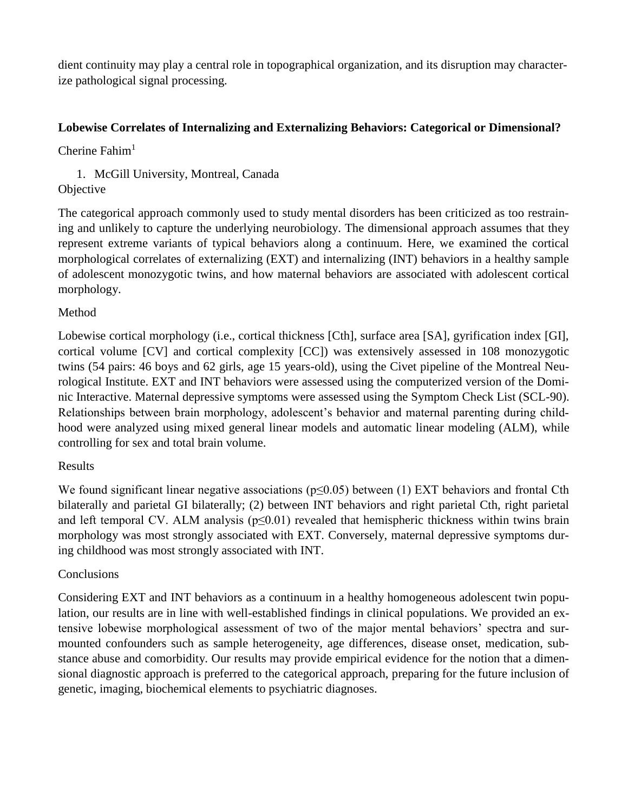dient continuity may play a central role in topographical organization, and its disruption may characterize pathological signal processing.

# **Lobewise Correlates of Internalizing and Externalizing Behaviors: Categorical or Dimensional?**

Cherine  $Fahim<sup>1</sup>$ 

# 1. McGill University, Montreal, Canada **Objective**

The categorical approach commonly used to study mental disorders has been criticized as too restraining and unlikely to capture the underlying neurobiology. The dimensional approach assumes that they represent extreme variants of typical behaviors along a continuum. Here, we examined the cortical morphological correlates of externalizing (EXT) and internalizing (INT) behaviors in a healthy sample of adolescent monozygotic twins, and how maternal behaviors are associated with adolescent cortical morphology.

# Method

Lobewise cortical morphology (i.e., cortical thickness [Cth], surface area [SA], gyrification index [GI], cortical volume [CV] and cortical complexity [CC]) was extensively assessed in 108 monozygotic twins (54 pairs: 46 boys and 62 girls, age 15 years-old), using the Civet pipeline of the Montreal Neurological Institute. EXT and INT behaviors were assessed using the computerized version of the Dominic Interactive. Maternal depressive symptoms were assessed using the Symptom Check List (SCL-90). Relationships between brain morphology, adolescent's behavior and maternal parenting during childhood were analyzed using mixed general linear models and automatic linear modeling (ALM), while controlling for sex and total brain volume.

# Results

We found significant linear negative associations (p≤0.05) between (1) EXT behaviors and frontal Cth bilaterally and parietal GI bilaterally; (2) between INT behaviors and right parietal Cth, right parietal and left temporal CV. ALM analysis ( $p \le 0.01$ ) revealed that hemispheric thickness within twins brain morphology was most strongly associated with EXT. Conversely, maternal depressive symptoms during childhood was most strongly associated with INT.

# Conclusions

Considering EXT and INT behaviors as a continuum in a healthy homogeneous adolescent twin population, our results are in line with well-established findings in clinical populations. We provided an extensive lobewise morphological assessment of two of the major mental behaviors' spectra and surmounted confounders such as sample heterogeneity, age differences, disease onset, medication, substance abuse and comorbidity. Our results may provide empirical evidence for the notion that a dimensional diagnostic approach is preferred to the categorical approach, preparing for the future inclusion of genetic, imaging, biochemical elements to psychiatric diagnoses.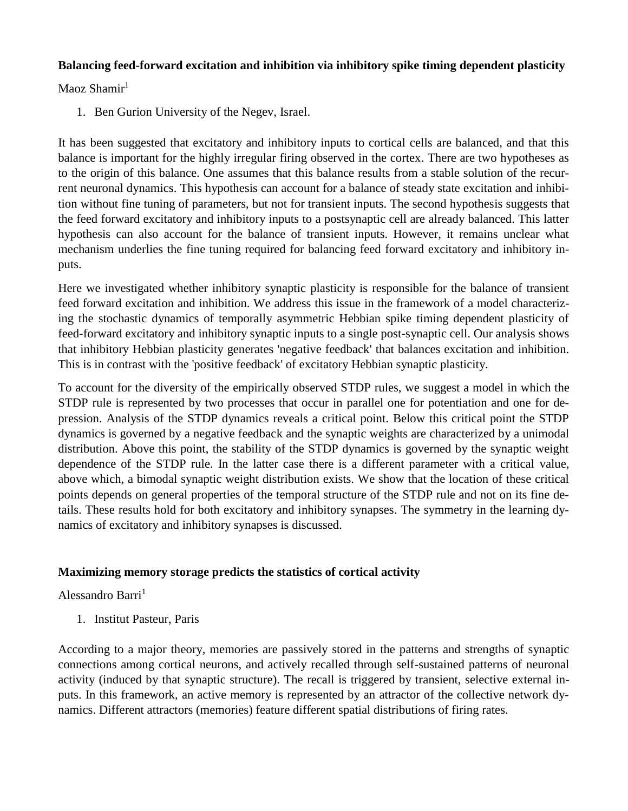#### **Balancing feed-forward excitation and inhibition via inhibitory spike timing dependent plasticity**

Maoz Shamir<sup>1</sup>

1. Ben Gurion University of the Negev, Israel.

It has been suggested that excitatory and inhibitory inputs to cortical cells are balanced, and that this balance is important for the highly irregular firing observed in the cortex. There are two hypotheses as to the origin of this balance. One assumes that this balance results from a stable solution of the recurrent neuronal dynamics. This hypothesis can account for a balance of steady state excitation and inhibition without fine tuning of parameters, but not for transient inputs. The second hypothesis suggests that the feed forward excitatory and inhibitory inputs to a postsynaptic cell are already balanced. This latter hypothesis can also account for the balance of transient inputs. However, it remains unclear what mechanism underlies the fine tuning required for balancing feed forward excitatory and inhibitory inputs.

Here we investigated whether inhibitory synaptic plasticity is responsible for the balance of transient feed forward excitation and inhibition. We address this issue in the framework of a model characterizing the stochastic dynamics of temporally asymmetric Hebbian spike timing dependent plasticity of feed-forward excitatory and inhibitory synaptic inputs to a single post-synaptic cell. Our analysis shows that inhibitory Hebbian plasticity generates 'negative feedback' that balances excitation and inhibition. This is in contrast with the 'positive feedback' of excitatory Hebbian synaptic plasticity.

To account for the diversity of the empirically observed STDP rules, we suggest a model in which the STDP rule is represented by two processes that occur in parallel one for potentiation and one for depression. Analysis of the STDP dynamics reveals a critical point. Below this critical point the STDP dynamics is governed by a negative feedback and the synaptic weights are characterized by a unimodal distribution. Above this point, the stability of the STDP dynamics is governed by the synaptic weight dependence of the STDP rule. In the latter case there is a different parameter with a critical value, above which, a bimodal synaptic weight distribution exists. We show that the location of these critical points depends on general properties of the temporal structure of the STDP rule and not on its fine details. These results hold for both excitatory and inhibitory synapses. The symmetry in the learning dynamics of excitatory and inhibitory synapses is discussed.

# **Maximizing memory storage predicts the statistics of cortical activity**

Alessandro Barri<sup>1</sup>

1. Institut Pasteur, Paris

According to a major theory, memories are passively stored in the patterns and strengths of synaptic connections among cortical neurons, and actively recalled through self-sustained patterns of neuronal activity (induced by that synaptic structure). The recall is triggered by transient, selective external inputs. In this framework, an active memory is represented by an attractor of the collective network dynamics. Different attractors (memories) feature different spatial distributions of firing rates.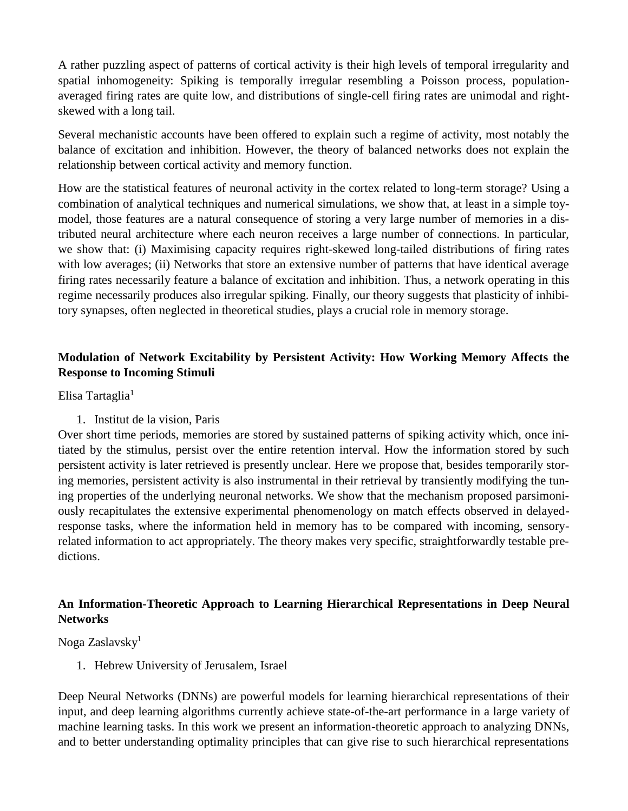A rather puzzling aspect of patterns of cortical activity is their high levels of temporal irregularity and spatial inhomogeneity: Spiking is temporally irregular resembling a Poisson process, populationaveraged firing rates are quite low, and distributions of single-cell firing rates are unimodal and rightskewed with a long tail.

Several mechanistic accounts have been offered to explain such a regime of activity, most notably the balance of excitation and inhibition. However, the theory of balanced networks does not explain the relationship between cortical activity and memory function.

How are the statistical features of neuronal activity in the cortex related to long-term storage? Using a combination of analytical techniques and numerical simulations, we show that, at least in a simple toymodel, those features are a natural consequence of storing a very large number of memories in a distributed neural architecture where each neuron receives a large number of connections. In particular, we show that: (i) Maximising capacity requires right-skewed long-tailed distributions of firing rates with low averages; (ii) Networks that store an extensive number of patterns that have identical average firing rates necessarily feature a balance of excitation and inhibition. Thus, a network operating in this regime necessarily produces also irregular spiking. Finally, our theory suggests that plasticity of inhibitory synapses, often neglected in theoretical studies, plays a crucial role in memory storage.

# **Modulation of Network Excitability by Persistent Activity: How Working Memory Affects the Response to Incoming Stimuli**

#### Elisa Tartaglia $<sup>1</sup>$ </sup>

1. Institut de la vision, Paris

Over short time periods, memories are stored by sustained patterns of spiking activity which, once initiated by the stimulus, persist over the entire retention interval. How the information stored by such persistent activity is later retrieved is presently unclear. Here we propose that, besides temporarily storing memories, persistent activity is also instrumental in their retrieval by transiently modifying the tuning properties of the underlying neuronal networks. We show that the mechanism proposed parsimoniously recapitulates the extensive experimental phenomenology on match effects observed in delayedresponse tasks, where the information held in memory has to be compared with incoming, sensoryrelated information to act appropriately. The theory makes very specific, straightforwardly testable predictions.

# **An Information-Theoretic Approach to Learning Hierarchical Representations in Deep Neural Networks**

# Noga Zaslavsky<sup>1</sup>

1. Hebrew University of Jerusalem, Israel

Deep Neural Networks (DNNs) are powerful models for learning hierarchical representations of their input, and deep learning algorithms currently achieve state-of-the-art performance in a large variety of machine learning tasks. In this work we present an information-theoretic approach to analyzing DNNs, and to better understanding optimality principles that can give rise to such hierarchical representations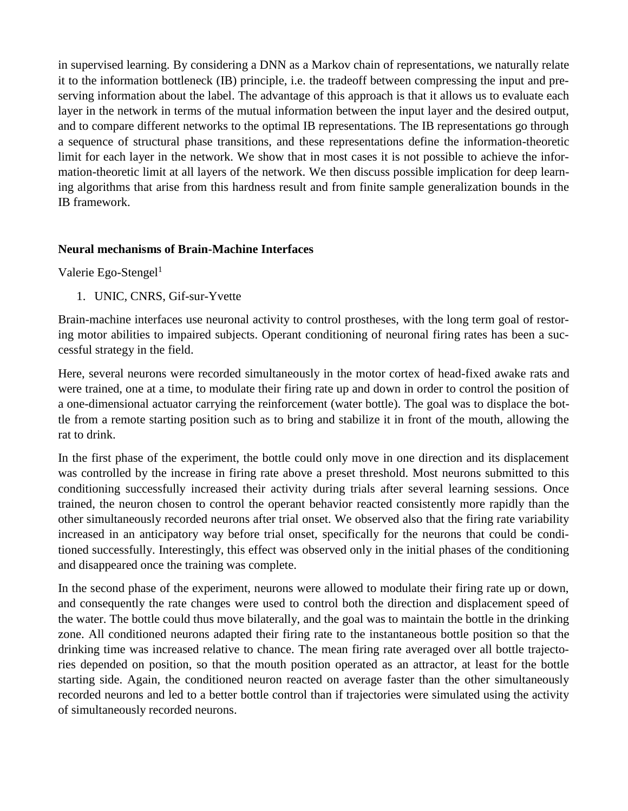in supervised learning. By considering a DNN as a Markov chain of representations, we naturally relate it to the information bottleneck (IB) principle, i.e. the tradeoff between compressing the input and preserving information about the label. The advantage of this approach is that it allows us to evaluate each layer in the network in terms of the mutual information between the input layer and the desired output, and to compare different networks to the optimal IB representations. The IB representations go through a sequence of structural phase transitions, and these representations define the information-theoretic limit for each layer in the network. We show that in most cases it is not possible to achieve the information-theoretic limit at all layers of the network. We then discuss possible implication for deep learning algorithms that arise from this hardness result and from finite sample generalization bounds in the IB framework.

#### **Neural mechanisms of Brain-Machine Interfaces**

Valerie Ego-Stengel $^1$ 

1. UNIC, CNRS, Gif-sur-Yvette

Brain-machine interfaces use neuronal activity to control prostheses, with the long term goal of restoring motor abilities to impaired subjects. Operant conditioning of neuronal firing rates has been a successful strategy in the field.

Here, several neurons were recorded simultaneously in the motor cortex of head-fixed awake rats and were trained, one at a time, to modulate their firing rate up and down in order to control the position of a one-dimensional actuator carrying the reinforcement (water bottle). The goal was to displace the bottle from a remote starting position such as to bring and stabilize it in front of the mouth, allowing the rat to drink.

In the first phase of the experiment, the bottle could only move in one direction and its displacement was controlled by the increase in firing rate above a preset threshold. Most neurons submitted to this conditioning successfully increased their activity during trials after several learning sessions. Once trained, the neuron chosen to control the operant behavior reacted consistently more rapidly than the other simultaneously recorded neurons after trial onset. We observed also that the firing rate variability increased in an anticipatory way before trial onset, specifically for the neurons that could be conditioned successfully. Interestingly, this effect was observed only in the initial phases of the conditioning and disappeared once the training was complete.

In the second phase of the experiment, neurons were allowed to modulate their firing rate up or down, and consequently the rate changes were used to control both the direction and displacement speed of the water. The bottle could thus move bilaterally, and the goal was to maintain the bottle in the drinking zone. All conditioned neurons adapted their firing rate to the instantaneous bottle position so that the drinking time was increased relative to chance. The mean firing rate averaged over all bottle trajectories depended on position, so that the mouth position operated as an attractor, at least for the bottle starting side. Again, the conditioned neuron reacted on average faster than the other simultaneously recorded neurons and led to a better bottle control than if trajectories were simulated using the activity of simultaneously recorded neurons.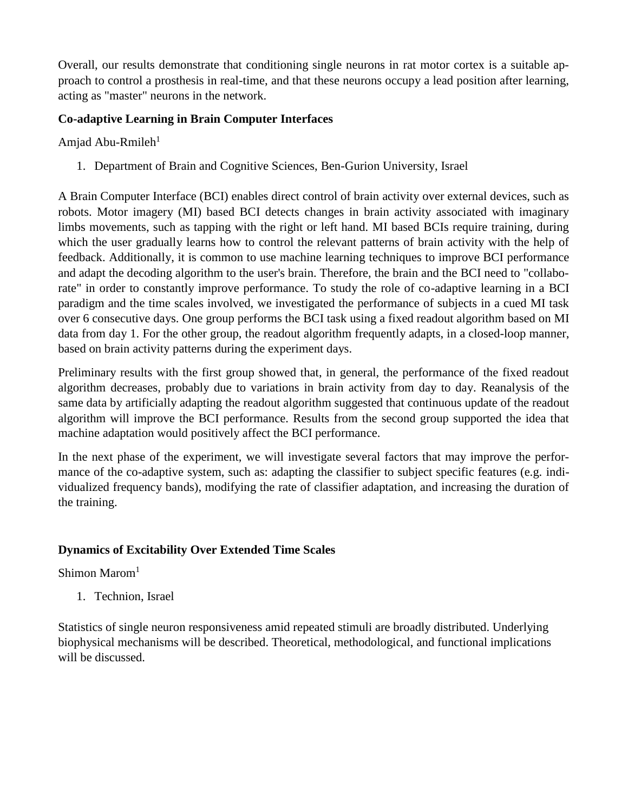Overall, our results demonstrate that conditioning single neurons in rat motor cortex is a suitable approach to control a prosthesis in real-time, and that these neurons occupy a lead position after learning, acting as "master" neurons in the network.

# **Co-adaptive Learning in Brain Computer Interfaces**

Amjad Abu-Rmileh $1$ 

1. Department of Brain and Cognitive Sciences, Ben-Gurion University, Israel

A Brain Computer Interface (BCI) enables direct control of brain activity over external devices, such as robots. Motor imagery (MI) based BCI detects changes in brain activity associated with imaginary limbs movements, such as tapping with the right or left hand. MI based BCIs require training, during which the user gradually learns how to control the relevant patterns of brain activity with the help of feedback. Additionally, it is common to use machine learning techniques to improve BCI performance and adapt the decoding algorithm to the user's brain. Therefore, the brain and the BCI need to "collaborate" in order to constantly improve performance. To study the role of co-adaptive learning in a BCI paradigm and the time scales involved, we investigated the performance of subjects in a cued MI task over 6 consecutive days. One group performs the BCI task using a fixed readout algorithm based on MI data from day 1. For the other group, the readout algorithm frequently adapts, in a closed-loop manner, based on brain activity patterns during the experiment days.

Preliminary results with the first group showed that, in general, the performance of the fixed readout algorithm decreases, probably due to variations in brain activity from day to day. Reanalysis of the same data by artificially adapting the readout algorithm suggested that continuous update of the readout algorithm will improve the BCI performance. Results from the second group supported the idea that machine adaptation would positively affect the BCI performance.

In the next phase of the experiment, we will investigate several factors that may improve the performance of the co-adaptive system, such as: adapting the classifier to subject specific features (e.g. individualized frequency bands), modifying the rate of classifier adaptation, and increasing the duration of the training.

# **Dynamics of Excitability Over Extended Time Scales**

# Shimon Marom<sup>1</sup>

1. Technion, Israel

Statistics of single neuron responsiveness amid repeated stimuli are broadly distributed. Underlying biophysical mechanisms will be described. Theoretical, methodological, and functional implications will be discussed.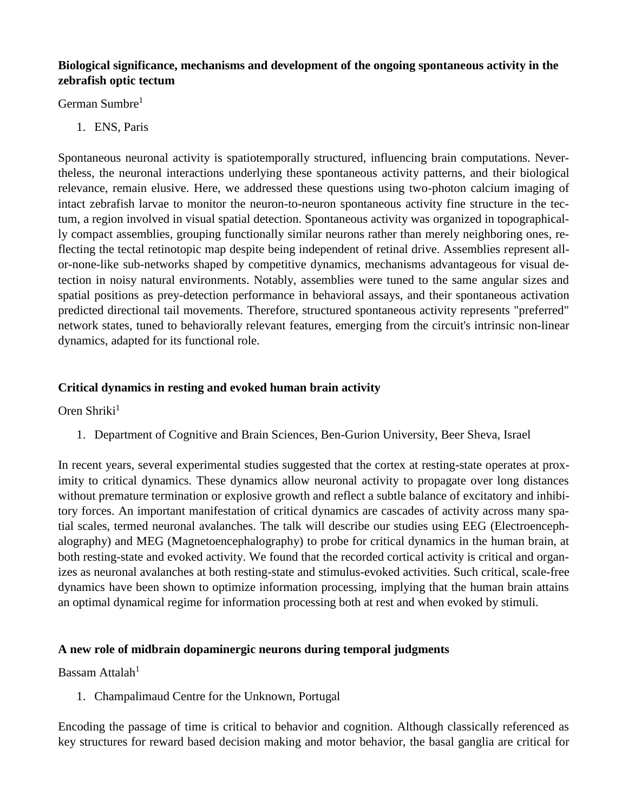# **Biological significance, mechanisms and development of the ongoing spontaneous activity in the zebrafish optic tectum**

German Sumbre<sup>1</sup>

1. ENS, Paris

Spontaneous neuronal activity is spatiotemporally structured, influencing brain computations. Nevertheless, the neuronal interactions underlying these spontaneous activity patterns, and their biological relevance, remain elusive. Here, we addressed these questions using two-photon calcium imaging of intact zebrafish larvae to monitor the neuron-to-neuron spontaneous activity fine structure in the tectum, a region involved in visual spatial detection. Spontaneous activity was organized in topographically compact assemblies, grouping functionally similar neurons rather than merely neighboring ones, reflecting the tectal retinotopic map despite being independent of retinal drive. Assemblies represent allor-none-like sub-networks shaped by competitive dynamics, mechanisms advantageous for visual detection in noisy natural environments. Notably, assemblies were tuned to the same angular sizes and spatial positions as prey-detection performance in behavioral assays, and their spontaneous activation predicted directional tail movements. Therefore, structured spontaneous activity represents "preferred" network states, tuned to behaviorally relevant features, emerging from the circuit's intrinsic non-linear dynamics, adapted for its functional role.

# **Critical dynamics in resting and evoked human brain activity**

Oren Shriki $<sup>1</sup>$ </sup>

1. Department of Cognitive and Brain Sciences, Ben-Gurion University, Beer Sheva, Israel

In recent years, several experimental studies suggested that the cortex at resting-state operates at proximity to critical dynamics. These dynamics allow neuronal activity to propagate over long distances without premature termination or explosive growth and reflect a subtle balance of excitatory and inhibitory forces. An important manifestation of critical dynamics are cascades of activity across many spatial scales, termed neuronal avalanches. The talk will describe our studies using EEG (Electroencephalography) and MEG (Magnetoencephalography) to probe for critical dynamics in the human brain, at both resting-state and evoked activity. We found that the recorded cortical activity is critical and organizes as neuronal avalanches at both resting-state and stimulus-evoked activities. Such critical, scale-free dynamics have been shown to optimize information processing, implying that the human brain attains an optimal dynamical regime for information processing both at rest and when evoked by stimuli.

# **A new role of midbrain dopaminergic neurons during temporal judgments**

Bassam Attalah<sup>1</sup>

1. Champalimaud Centre for the Unknown, Portugal

Encoding the passage of time is critical to behavior and cognition. Although classically referenced as key structures for reward based decision making and motor behavior, the basal ganglia are critical for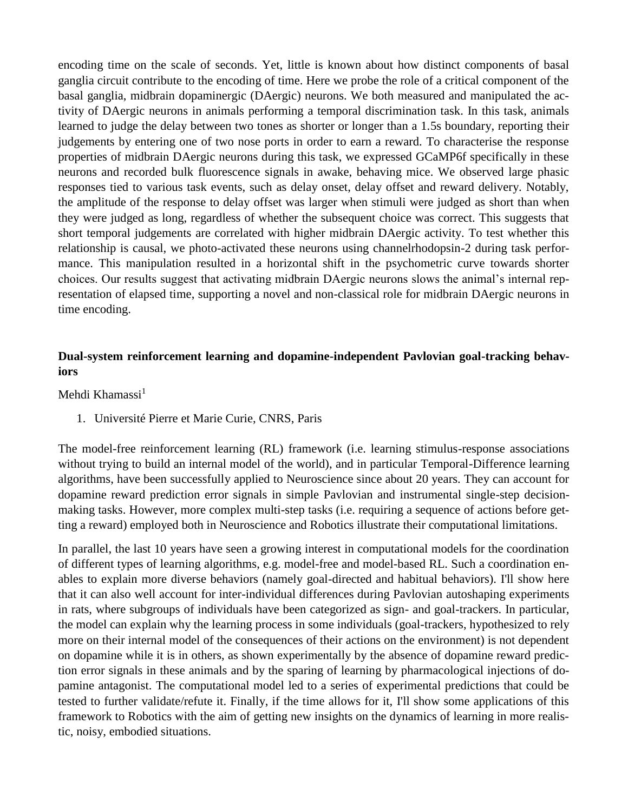encoding time on the scale of seconds. Yet, little is known about how distinct components of basal ganglia circuit contribute to the encoding of time. Here we probe the role of a critical component of the basal ganglia, midbrain dopaminergic (DAergic) neurons. We both measured and manipulated the activity of DAergic neurons in animals performing a temporal discrimination task. In this task, animals learned to judge the delay between two tones as shorter or longer than a 1.5s boundary, reporting their judgements by entering one of two nose ports in order to earn a reward. To characterise the response properties of midbrain DAergic neurons during this task, we expressed GCaMP6f specifically in these neurons and recorded bulk fluorescence signals in awake, behaving mice. We observed large phasic responses tied to various task events, such as delay onset, delay offset and reward delivery. Notably, the amplitude of the response to delay offset was larger when stimuli were judged as short than when they were judged as long, regardless of whether the subsequent choice was correct. This suggests that short temporal judgements are correlated with higher midbrain DAergic activity. To test whether this relationship is causal, we photo-activated these neurons using channelrhodopsin-2 during task performance. This manipulation resulted in a horizontal shift in the psychometric curve towards shorter choices. Our results suggest that activating midbrain DAergic neurons slows the animal's internal representation of elapsed time, supporting a novel and non-classical role for midbrain DAergic neurons in time encoding.

# **Dual-system reinforcement learning and dopamine-independent Pavlovian goal-tracking behaviors**

Mehdi Khamassi $<sup>1</sup>$ </sup>

1. Université Pierre et Marie Curie, CNRS, Paris

The model-free reinforcement learning (RL) framework (i.e. learning stimulus-response associations without trying to build an internal model of the world), and in particular Temporal-Difference learning algorithms, have been successfully applied to Neuroscience since about 20 years. They can account for dopamine reward prediction error signals in simple Pavlovian and instrumental single-step decisionmaking tasks. However, more complex multi-step tasks (i.e. requiring a sequence of actions before getting a reward) employed both in Neuroscience and Robotics illustrate their computational limitations.

In parallel, the last 10 years have seen a growing interest in computational models for the coordination of different types of learning algorithms, e.g. model-free and model-based RL. Such a coordination enables to explain more diverse behaviors (namely goal-directed and habitual behaviors). I'll show here that it can also well account for inter-individual differences during Pavlovian autoshaping experiments in rats, where subgroups of individuals have been categorized as sign- and goal-trackers. In particular, the model can explain why the learning process in some individuals (goal-trackers, hypothesized to rely more on their internal model of the consequences of their actions on the environment) is not dependent on dopamine while it is in others, as shown experimentally by the absence of dopamine reward prediction error signals in these animals and by the sparing of learning by pharmacological injections of dopamine antagonist. The computational model led to a series of experimental predictions that could be tested to further validate/refute it. Finally, if the time allows for it, I'll show some applications of this framework to Robotics with the aim of getting new insights on the dynamics of learning in more realistic, noisy, embodied situations.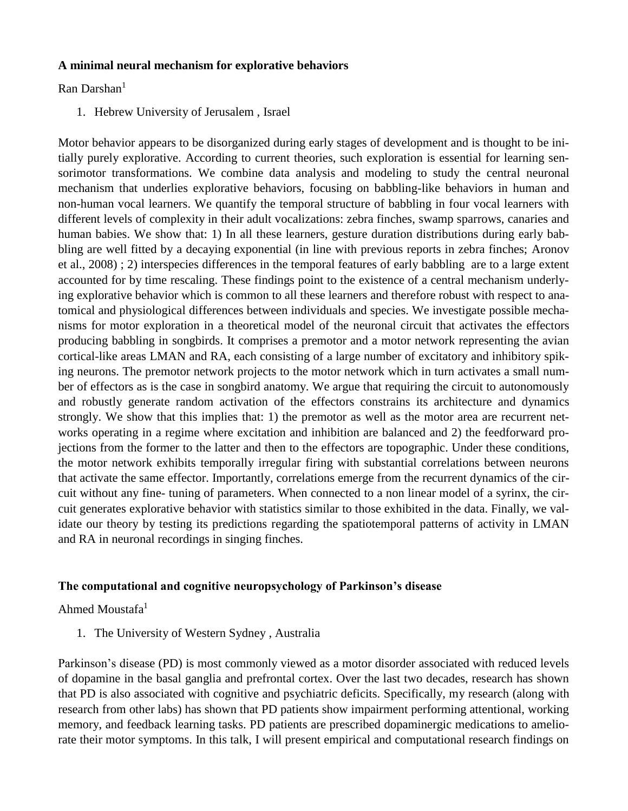#### **A minimal neural mechanism for explorative behaviors**

Ran Darshan $<sup>1</sup>$ </sup>

1. Hebrew University of Jerusalem , Israel

Motor behavior appears to be disorganized during early stages of development and is thought to be initially purely explorative. According to current theories, such exploration is essential for learning sensorimotor transformations. We combine data analysis and modeling to study the central neuronal mechanism that underlies explorative behaviors, focusing on babbling-like behaviors in human and non-human vocal learners. We quantify the temporal structure of babbling in four vocal learners with different levels of complexity in their adult vocalizations: zebra finches, swamp sparrows, canaries and human babies. We show that: 1) In all these learners, gesture duration distributions during early babbling are well fitted by a decaying exponential (in line with previous reports in zebra finches; Aronov et al., 2008) ; 2) interspecies differences in the temporal features of early babbling are to a large extent accounted for by time rescaling. These findings point to the existence of a central mechanism underlying explorative behavior which is common to all these learners and therefore robust with respect to anatomical and physiological differences between individuals and species. We investigate possible mechanisms for motor exploration in a theoretical model of the neuronal circuit that activates the effectors producing babbling in songbirds. It comprises a premotor and a motor network representing the avian cortical-like areas LMAN and RA, each consisting of a large number of excitatory and inhibitory spiking neurons. The premotor network projects to the motor network which in turn activates a small number of effectors as is the case in songbird anatomy. We argue that requiring the circuit to autonomously and robustly generate random activation of the effectors constrains its architecture and dynamics strongly. We show that this implies that: 1) the premotor as well as the motor area are recurrent networks operating in a regime where excitation and inhibition are balanced and 2) the feedforward projections from the former to the latter and then to the effectors are topographic. Under these conditions, the motor network exhibits temporally irregular firing with substantial correlations between neurons that activate the same effector. Importantly, correlations emerge from the recurrent dynamics of the circuit without any fine- tuning of parameters. When connected to a non linear model of a syrinx, the circuit generates explorative behavior with statistics similar to those exhibited in the data. Finally, we validate our theory by testing its predictions regarding the spatiotemporal patterns of activity in LMAN and RA in neuronal recordings in singing finches.

# **The computational and cognitive neuropsychology of Parkinson's disease**

Ahmed Moustafa<sup>1</sup>

1. The University of Western Sydney , Australia

Parkinson's disease (PD) is most commonly viewed as a motor disorder associated with reduced levels of dopamine in the basal ganglia and prefrontal cortex. Over the last two decades, research has shown that PD is also associated with cognitive and psychiatric deficits. Specifically, my research (along with research from other labs) has shown that PD patients show impairment performing attentional, working memory, and feedback learning tasks. PD patients are prescribed dopaminergic medications to ameliorate their motor symptoms. In this talk, I will present empirical and computational research findings on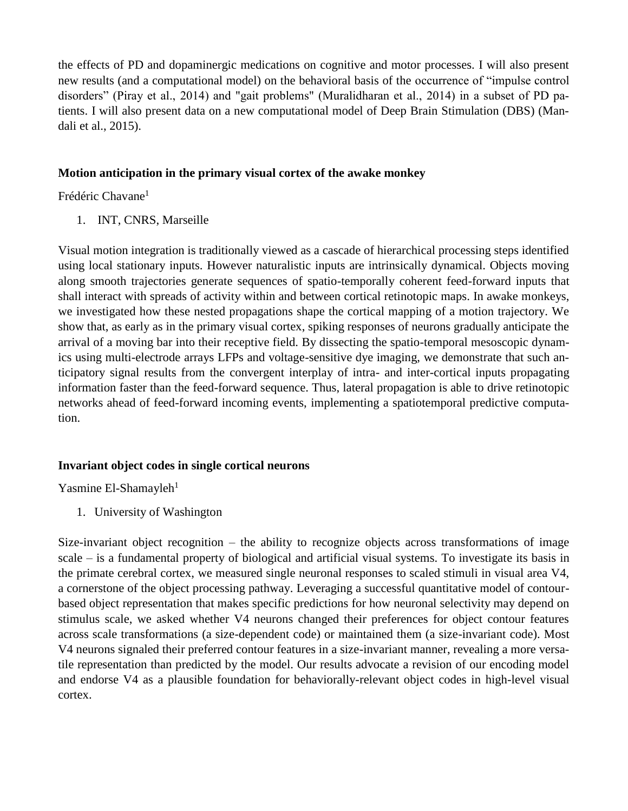the effects of PD and dopaminergic medications on cognitive and motor processes. I will also present new results (and a computational model) on the behavioral basis of the occurrence of "impulse control disorders" (Piray et al., 2014) and "gait problems" (Muralidharan et al., 2014) in a subset of PD patients. I will also present data on a new computational model of Deep Brain Stimulation (DBS) (Mandali et al., 2015).

#### **Motion anticipation in the primary visual cortex of the awake monkey**

Frédéric Chavane<sup>1</sup>

1. INT, CNRS, Marseille

Visual motion integration is traditionally viewed as a cascade of hierarchical processing steps identified using local stationary inputs. However naturalistic inputs are intrinsically dynamical. Objects moving along smooth trajectories generate sequences of spatio-temporally coherent feed-forward inputs that shall interact with spreads of activity within and between cortical retinotopic maps. In awake monkeys, we investigated how these nested propagations shape the cortical mapping of a motion trajectory. We show that, as early as in the primary visual cortex, spiking responses of neurons gradually anticipate the arrival of a moving bar into their receptive field. By dissecting the spatio-temporal mesoscopic dynamics using multi-electrode arrays LFPs and voltage-sensitive dye imaging, we demonstrate that such anticipatory signal results from the convergent interplay of intra- and inter-cortical inputs propagating information faster than the feed-forward sequence. Thus, lateral propagation is able to drive retinotopic networks ahead of feed-forward incoming events, implementing a spatiotemporal predictive computation.

# **Invariant object codes in single cortical neurons**

Yasmine El-Shamayleh $1$ 

1. University of Washington

Size-invariant object recognition – the ability to recognize objects across transformations of image scale – is a fundamental property of biological and artificial visual systems. To investigate its basis in the primate cerebral cortex, we measured single neuronal responses to scaled stimuli in visual area V4, a cornerstone of the object processing pathway. Leveraging a successful quantitative model of contourbased object representation that makes specific predictions for how neuronal selectivity may depend on stimulus scale, we asked whether V4 neurons changed their preferences for object contour features across scale transformations (a size-dependent code) or maintained them (a size-invariant code). Most V4 neurons signaled their preferred contour features in a size-invariant manner, revealing a more versatile representation than predicted by the model. Our results advocate a revision of our encoding model and endorse V4 as a plausible foundation for behaviorally-relevant object codes in high-level visual cortex.